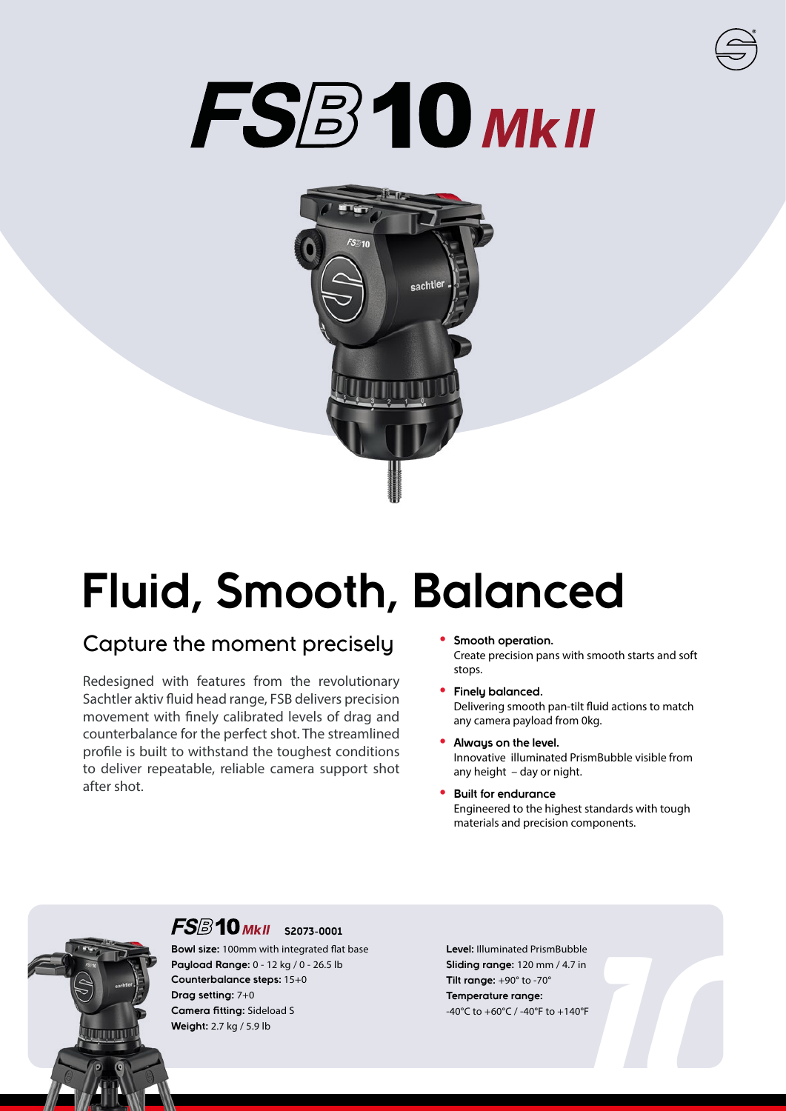# FSB10 MKII



## **Fluid, Smooth, Balanced**

### Capture the moment precisely

Redesigned with features from the revolutionary Sachtler aktiv fluid head range, FSB delivers precision movement with finely calibrated levels of drag and counterbalance for the perfect shot. The streamlined profile is built to withstand the toughest conditions to deliver repeatable, reliable camera support shot after shot.

- **• Smooth operation.** Create precision pans with smooth starts and soft stops.
- **• Finely balanced.** Delivering smooth pan-tilt fluid actions to match any camera payload from 0kg.
- **• Always on the level.** Innovative illuminated PrismBubble visible from any height – day or night.
- **• Built for endurance** Engineered to the highest standards with tough materials and precision components.



### **FS**<sup>3</sup>10 MkII 52073-0001

**Bowl size:** 100mm with integrated flat base **Payload Range:** 0 - 12 kg / 0 - 26.5 lb **Counterbalance steps:** 15+0 **Drag setting:** 7+0 **Camera fitting:** Sideload S **Weight:** 2.7 kg / 5.9 lb

.7 in<br>40°F<br>**10 Level:** Illuminated PrismBubble **Sliding range:** 120 mm / 4.7 in **Tilt range:** +90° to -70° **Temperature range:** -40°C to +60°C / -40°F to +140°F